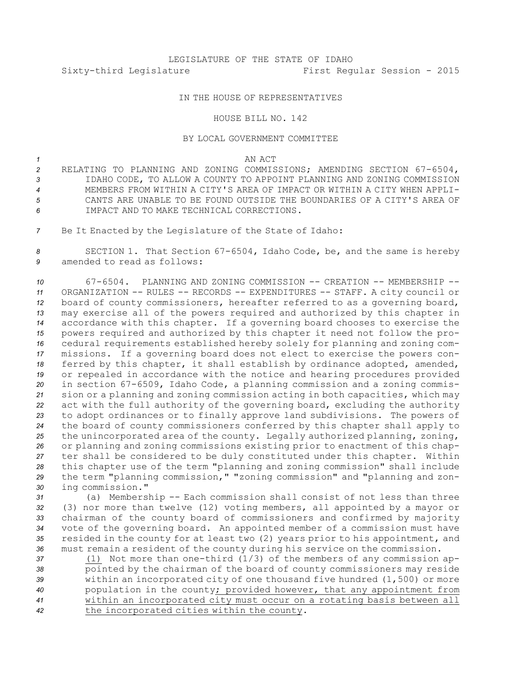# LEGISLATURE OF THE STATE OF IDAHO Sixty-third Legislature First Regular Session - 2015

## IN THE HOUSE OF REPRESENTATIVES

### HOUSE BILL NO. 142

#### BY LOCAL GOVERNMENT COMMITTEE

### *1* AN ACT

- *<sup>2</sup>* RELATING TO PLANNING AND ZONING COMMISSIONS; AMENDING SECTION 67-6504, *3* IDAHO CODE, TO ALLOW A COUNTY TO APPOINT PLANNING AND ZONING COMMISSION *4* MEMBERS FROM WITHIN A CITY'S AREA OF IMPACT OR WITHIN A CITY WHEN APPLI-*5* CANTS ARE UNABLE TO BE FOUND OUTSIDE THE BOUNDARIES OF A CITY'S AREA OF *6* IMPACT AND TO MAKE TECHNICAL CORRECTIONS.
- *<sup>7</sup>* Be It Enacted by the Legislature of the State of Idaho:

*<sup>8</sup>* SECTION 1. That Section 67-6504, Idaho Code, be, and the same is hereby *9* amended to read as follows:

 67-6504. PLANNING AND ZONING COMMISSION -- CREATION -- MEMBERSHIP -- ORGANIZATION -- RULES -- RECORDS -- EXPENDITURES -- STAFF. <sup>A</sup> city council or board of county commissioners, hereafter referred to as <sup>a</sup> governing board, may exercise all of the powers required and authorized by this chapter in accordance with this chapter. If <sup>a</sup> governing board chooses to exercise the powers required and authorized by this chapter it need not follow the pro- cedural requirements established hereby solely for planning and zoning com- missions. If <sup>a</sup> governing board does not elect to exercise the powers con- ferred by this chapter, it shall establish by ordinance adopted, amended, or repealed in accordance with the notice and hearing procedures provided in section 67-6509, Idaho Code, <sup>a</sup> planning commission and <sup>a</sup> zoning commis- sion or <sup>a</sup> planning and zoning commission acting in both capacities, which may act with the full authority of the governing board, excluding the authority to adopt ordinances or to finally approve land subdivisions. The powers of the board of county commissioners conferred by this chapter shall apply to the unincorporated area of the county. Legally authorized planning, zoning, or planning and zoning commissions existing prior to enactment of this chap- ter shall be considered to be duly constituted under this chapter. Within this chapter use of the term "planning and zoning commission" shall include the term "planning commission," "zoning commission" and "planning and zon-ing commission."

 (a) Membership -- Each commission shall consist of not less than three (3) nor more than twelve (12) voting members, all appointed by <sup>a</sup> mayor or chairman of the county board of commissioners and confirmed by majority vote of the governing board. An appointed member of <sup>a</sup> commission must have resided in the county for at least two (2) years prior to his appointment, and must remain <sup>a</sup> resident of the county during his service on the commission.

 (1) Not more than one-third (1/3) of the members of any commission ap- pointed by the chairman of the board of county commissioners may reside within an incorporated city of one thousand five hundred (1,500) or more population in the county; provided however, that any appointment from within an incorporated city must occur on <sup>a</sup> rotating basis between all the incorporated cities within the county.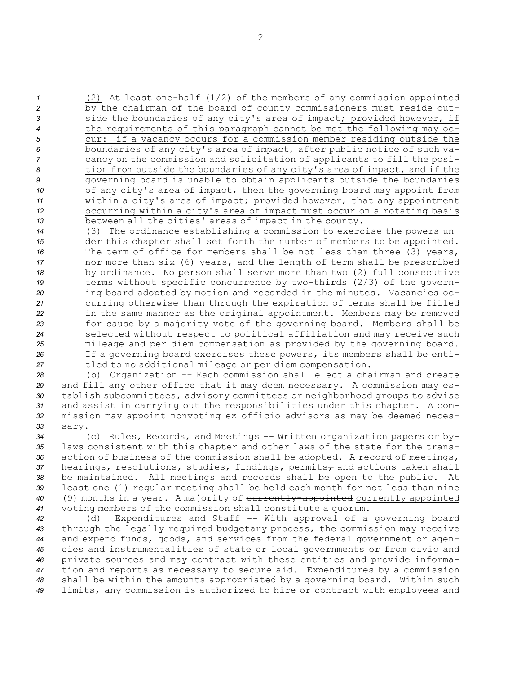(2) At least one-half (1/2) of the members of any commission appointed by the chairman of the board of county commissioners must reside out- side the boundaries of any city's area of impact; provided however, if the requirements of this paragraph cannot be met the following may oc- cur: if <sup>a</sup> vacancy occurs for <sup>a</sup> commission member residing outside the boundaries of any city's area of impact, after public notice of such va- cancy on the commission and solicitation of applicants to fill the posi- tion from outside the boundaries of any city's area of impact, and if the governing board is unable to obtain applicants outside the boundaries of any city's area of impact, then the governing board may appoint from within <sup>a</sup> city's area of impact; provided however, that any appointment occurring within <sup>a</sup> city's area of impact must occur on <sup>a</sup> rotating basis between all the cities' areas of impact in the county.

 (3) The ordinance establishing <sup>a</sup> commission to exercise the powers un- der this chapter shall set forth the number of members to be appointed. The term of office for members shall be not less than three (3) years, nor more than six (6) years, and the length of term shall be prescribed by ordinance. No person shall serve more than two (2) full consecutive terms without specific concurrence by two-thirds (2/3) of the govern- ing board adopted by motion and recorded in the minutes. Vacancies oc- curring otherwise than through the expiration of terms shall be filled in the same manner as the original appointment. Members may be removed for cause by <sup>a</sup> majority vote of the governing board. Members shall be selected without respect to political affiliation and may receive such mileage and per diem compensation as provided by the governing board. If <sup>a</sup> governing board exercises these powers, its members shall be enti-tled to no additional mileage or per diem compensation.

 (b) Organization -- Each commission shall elect <sup>a</sup> chairman and create and fill any other office that it may deem necessary. <sup>A</sup> commission may es- tablish subcommittees, advisory committees or neighborhood groups to advise and assist in carrying out the responsibilities under this chapter. <sup>A</sup> com- mission may appoint nonvoting ex officio advisors as may be deemed neces-*33* sary.

 (c) Rules, Records, and Meetings -- Written organization papers or by- laws consistent with this chapter and other laws of the state for the trans- action of business of the commission shall be adopted. <sup>A</sup> record of meetings, 37 hearings, resolutions, studies, findings, permits<sub>7</sub> and actions taken shall be maintained. All meetings and records shall be open to the public. At least one (1) regular meeting shall be held each month for not less than nine (9) months in <sup>a</sup> year. <sup>A</sup> majority of currently-appointed currently appointed voting members of the commission shall constitute <sup>a</sup> quorum.

 (d) Expenditures and Staff -- With approval of <sup>a</sup> governing board through the legally required budgetary process, the commission may receive and expend funds, goods, and services from the federal government or agen- cies and instrumentalities of state or local governments or from civic and private sources and may contract with these entities and provide informa- tion and reports as necessary to secure aid. Expenditures by <sup>a</sup> commission shall be within the amounts appropriated by <sup>a</sup> governing board. Within such limits, any commission is authorized to hire or contract with employees and